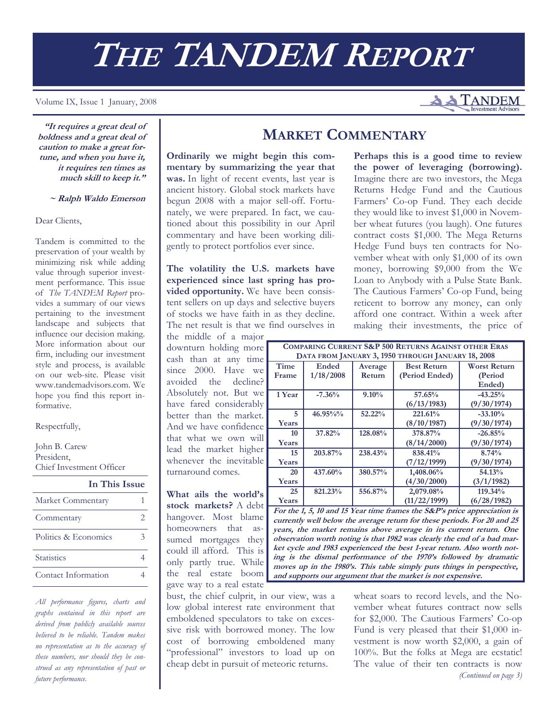# **THE TANDEM REPORT**

#### Volume IX, Issue 1 January, 2008

**"It requires a great deal of boldness and a great deal of caution to make a great fortune, and when you have it, it requires ten times as much skill to keep it."** 

 **~ Ralph Waldo Emerson**

Dear Clients,

Tandem is committed to the preservation of your wealth by minimizing risk while adding value through superior investment performance. This issue of *The TANDEM Report* provides a summary of our views pertaining to the investment landscape and subjects that influence our decision making. More information about our firm, including our investment style and process, is available on our web-site. Please visit www.tandemadvisors.com. We hope you find this report informative.

Respectfully,

John B. Carew President, Chief Investment Officer

| In This Issue        |  |
|----------------------|--|
| Market Commentary    |  |
| Commentary           |  |
| Politics & Economics |  |
| <b>Statistics</b>    |  |
| Contact Information  |  |

*All performance figures, charts and graphs contained in this report are derived from publicly available sources believed to be reliable. Tandem makes no representation as to the accuracy of these numbers, nor should they be construed as any representation of past or future performance.* 

# **MARKET COMMENTARY**

**Ordinarily we might begin this commentary by summarizing the year that was.** In light of recent events, last year is ancient history. Global stock markets have begun 2008 with a major sell-off. Fortunately, we were prepared. In fact, we cautioned about this possibility in our April commentary and have been working diligently to protect portfolios ever since.

**The volatility the U.S. markets have experienced since last spring has provided opportunity.** We have been consistent sellers on up days and selective buyers of stocks we have faith in as they decline. The net result is that we find ourselves in

the middle of a major downturn holding more cash than at any time since 2000. Have we avoided the decline? Absolutely not. But we have fared considerably better than the market. And we have confidence that what we own will lead the market higher whenever the inevitable turnaround comes.

**What ails the world's stock markets?** A debt hangover. Most blame homeowners that assumed mortgages they could ill afford. This is only partly true. While the real estate boom gave way to a real estate

bust, the chief culprit, in our view, was a low global interest rate environment that emboldened speculators to take on excessive risk with borrowed money. The low cost of borrowing emboldened many "professional" investors to load up on cheap debt in pursuit of meteoric returns.

**Perhaps this is a good time to review the power of leveraging (borrowing).**  Imagine there are two investors, the Mega Returns Hedge Fund and the Cautious Farmers' Co-op Fund. They each decide they would like to invest \$1,000 in November wheat futures (you laugh). One futures contract costs \$1,000. The Mega Returns Hedge Fund buys ten contracts for November wheat with only \$1,000 of its own money, borrowing \$9,000 from the We Loan to Anybody with a Pulse State Bank. The Cautious Farmers' Co-op Fund, being reticent to borrow any money, can only afford one contract. Within a week after making their investments, the price of

**TANDEM** 

| <b>COMPARING CURRENT S&amp;P 500 RETURNS AGAINST OTHER ERAS</b> |             |         |                                           |             |  |  |
|-----------------------------------------------------------------|-------------|---------|-------------------------------------------|-------------|--|--|
| DATA FROM JANUARY 3, 1950 THROUGH JANUARY 18, 2008              |             |         |                                           |             |  |  |
| Time                                                            | Ended       | Average | <b>Best Return</b><br><b>Worst Return</b> |             |  |  |
| Frame                                                           | 1/18/2008   | Return  | (Period Ended)                            | (Period     |  |  |
|                                                                 |             |         |                                           | Ended)      |  |  |
| 1 Year                                                          | $-7.36%$    | 9.10%   | 57.65%                                    | $-43.25%$   |  |  |
|                                                                 |             |         | (6/13/1983)                               | (9/30/1974) |  |  |
| 5                                                               | $46.95\%$ % | 52.22%  | 221.61%                                   | $-33.10%$   |  |  |
| Years                                                           |             |         | (8/10/1987)                               | (9/30/1974) |  |  |
| 10                                                              | 37.82%      | 128.08% | 378.87%                                   | $-26.85%$   |  |  |
| Years                                                           |             |         | (8/14/2000)                               | (9/30/1974) |  |  |
| 15                                                              | 203.87%     | 238.43% | 838.41%                                   | 8.74%       |  |  |
| Years                                                           |             |         | (7/12/1999)                               | (9/30/1974) |  |  |
| 20                                                              | 437.60%     | 380.57% | 1,408.06%                                 | 54.13%      |  |  |
| Years                                                           |             |         | (4/30/2000)                               | (3/1/1982)  |  |  |
| 25                                                              | 821.23%     | 556.87% | 2,079.08%                                 | 119.34%     |  |  |
| Years                                                           |             |         | (11/22/1999)                              | (6/28/1982) |  |  |

**For the 1, 5, 10 and 15 Year time frames the S&P's price appreciation is currently well below the average return for these periods. For 20 and 25 years, the market remains above average in its current return. One observation worth noting is that 1982 was clearly the end of a bad market cycle and 1983 experienced the best 1-year return. Also worth noting is the dismal performance of the 1970's followed by dramatic moves up in the 1980's. This table simply puts things in perspective, and supports our argument that the market is not expensive.** 

> wheat soars to record levels, and the November wheat futures contract now sells for \$2,000. The Cautious Farmers' Co-op Fund is very pleased that their \$1,000 investment is now worth \$2,000, a gain of 100%. But the folks at Mega are ecstatic! The value of their ten contracts is now *(Continued on page 3)*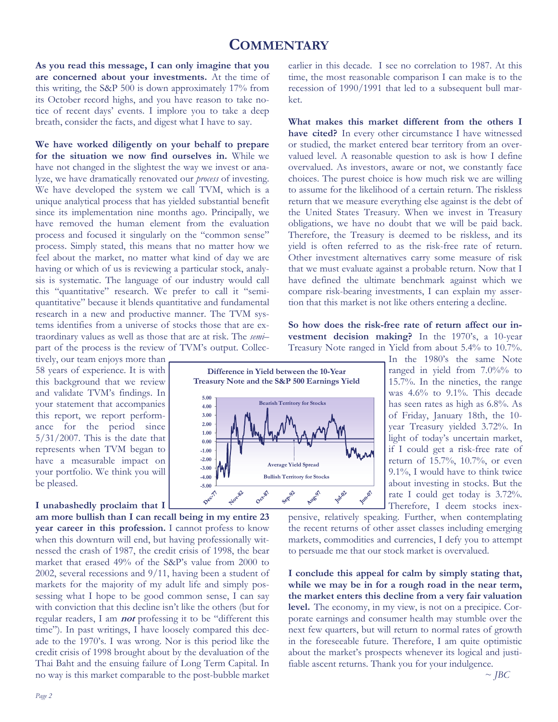# **COMMENTARY**

**As you read this message, I can only imagine that you are concerned about your investments.** At the time of this writing, the S&P 500 is down approximately 17% from its October record highs, and you have reason to take notice of recent days' events. I implore you to take a deep breath, consider the facts, and digest what I have to say.

**We have worked diligently on your behalf to prepare for the situation we now find ourselves in.** While we have not changed in the slightest the way we invest or analyze, we have dramatically renovated our *process* of investing. We have developed the system we call TVM, which is a unique analytical process that has yielded substantial benefit since its implementation nine months ago. Principally, we have removed the human element from the evaluation process and focused it singularly on the "common sense" process. Simply stated, this means that no matter how we feel about the market, no matter what kind of day we are having or which of us is reviewing a particular stock, analysis is systematic. The language of our industry would call this "quantitative" research. We prefer to call it "semiquantitative" because it blends quantitative and fundamental research in a new and productive manner. The TVM systems identifies from a universe of stocks those that are extraordinary values as well as those that are at risk. The *semi–*  part of the process is the review of TVM's output. Collec-

tively, our team enjoys more than 58 years of experience. It is with this background that we review and validate TVM's findings. In your statement that accompanies this report, we report performance for the period since  $5/31/2007$ . This is the date that represents when TVM began to have a measurable impact on your portfolio. We think you will be pleased.

### **I unabashedly proclaim that I**

**am more bullish than I can recall being in my entire 23 year career in this profession.** I cannot profess to know when this downturn will end, but having professionally witnessed the crash of 1987, the credit crisis of 1998, the bear market that erased 49% of the S&P's value from 2000 to 2002, several recessions and 9/11, having been a student of markets for the majority of my adult life and simply possessing what I hope to be good common sense, I can say with conviction that this decline isn't like the others (but for regular readers, I am **not** professing it to be "different this time"). In past writings, I have loosely compared this decade to the 1970's. I was wrong. Nor is this period like the credit crisis of 1998 brought about by the devaluation of the Thai Baht and the ensuing failure of Long Term Capital. In no way is this market comparable to the post-bubble market

earlier in this decade. I see no correlation to 1987. At this time, the most reasonable comparison I can make is to the recession of 1990/1991 that led to a subsequent bull market.

**What makes this market different from the others I have cited?** In every other circumstance I have witnessed or studied, the market entered bear territory from an overvalued level. A reasonable question to ask is how I define overvalued. As investors, aware or not, we constantly face choices. The purest choice is how much risk we are willing to assume for the likelihood of a certain return. The riskless return that we measure everything else against is the debt of the United States Treasury. When we invest in Treasury obligations, we have no doubt that we will be paid back. Therefore, the Treasury is deemed to be riskless, and its yield is often referred to as the risk-free rate of return. Other investment alternatives carry some measure of risk that we must evaluate against a probable return. Now that I have defined the ultimate benchmark against which we compare risk-bearing investments, I can explain my assertion that this market is not like others entering a decline.

**So how does the risk-free rate of return affect our investment decision making?** In the 1970's, a 10-year Treasury Note ranged in Yield from about 5.4% to 10.7%.



In the 1980's the same Note ranged in yield from 7.0%% to 15.7%. In the nineties, the range was 4.6% to 9.1%. This decade has seen rates as high as 6.8%. As of Friday, January 18th, the 10 year Treasury yielded 3.72%. In light of today's uncertain market, if I could get a risk-free rate of return of 15.7%, 10.7%, or even 9.1%, I would have to think twice about investing in stocks. But the rate I could get today is 3.72%. Therefore, I deem stocks inex-

pensive, relatively speaking. Further, when contemplating the recent returns of other asset classes including emerging markets, commodities and currencies, I defy you to attempt to persuade me that our stock market is overvalued.

**I conclude this appeal for calm by simply stating that, while we may be in for a rough road in the near term, the market enters this decline from a very fair valuation level.** The economy, in my view, is not on a precipice. Corporate earnings and consumer health may stumble over the next few quarters, but will return to normal rates of growth in the foreseeable future. Therefore, I am quite optimistic about the market's prospects whenever its logical and justifiable ascent returns. Thank you for your indulgence.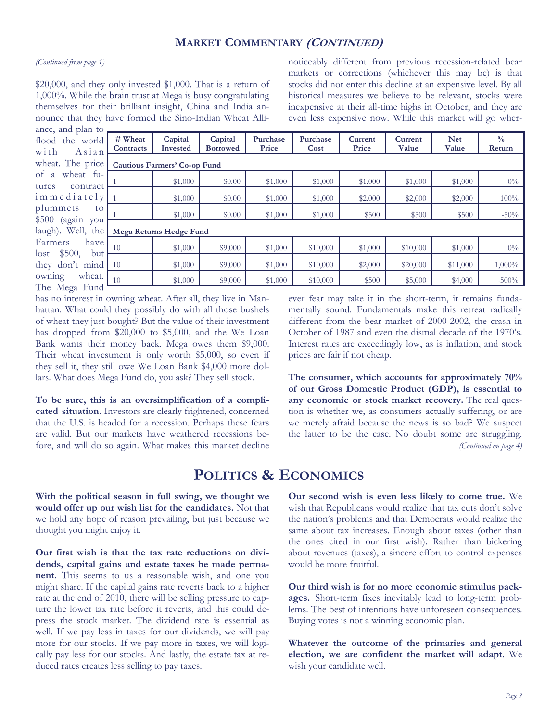## **MARKET COMMENTARY (CONTINUED)**

#### *(Continued from page 1)*

\$20,000, and they only invested \$1,000. That is a return of 1,000%. While the brain trust at Mega is busy congratulating themselves for their brilliant insight, China and India announce that they have formed the Sino-Indian Wheat Alliance, and plan to

noticeably different from previous recession-related bear markets or corrections (whichever this may be) is that stocks did not enter this decline at an expensive level. By all historical measures we believe to be relevant, stocks were inexpensive at their all-time highs in October, and they are even less expensive now. While this market will go wher-

| ance, and $\mu$ an to |                         |                                     |                            |                   |                  |                  |                  |                     |                         |
|-----------------------|-------------------------|-------------------------------------|----------------------------|-------------------|------------------|------------------|------------------|---------------------|-------------------------|
| flood the world       | # Wheat<br>Contracts    | Capital<br><b>Invested</b>          | Capital<br><b>Borrowed</b> | Purchase<br>Price | Purchase<br>Cost | Current<br>Price | Current<br>Value | <b>Net</b><br>Value | $\frac{0}{0}$<br>Return |
| with<br>$A$ s i a n   |                         |                                     |                            |                   |                  |                  |                  |                     |                         |
| wheat. The price      |                         | <b>Cautious Farmers' Co-op Fund</b> |                            |                   |                  |                  |                  |                     |                         |
| of a wheat fu-        |                         |                                     |                            |                   |                  |                  |                  |                     |                         |
| tures<br>contract     |                         | \$1,000                             | \$0.00                     | \$1,000           | \$1,000          | \$1,000          | \$1,000          | \$1,000             | $0\%$                   |
|                       |                         |                                     |                            |                   |                  |                  |                  |                     |                         |
| $imme$ diately $1$    |                         | \$1,000                             | \$0.00                     | \$1,000           | \$1,000          | \$2,000          | \$2,000          | \$2,000             | 100%                    |
| plummets<br>to        |                         |                                     |                            |                   |                  |                  |                  |                     |                         |
|                       |                         | \$1,000                             | \$0.00                     | \$1,000           | \$1,000          | \$500            | \$500            | \$500               | $-50%$                  |
| \$500 (again you      |                         |                                     |                            |                   |                  |                  |                  |                     |                         |
| laugh). Well, the     | Mega Returns Hedge Fund |                                     |                            |                   |                  |                  |                  |                     |                         |
| Farmers<br>have       |                         |                                     |                            |                   |                  |                  |                  |                     |                         |
|                       | 10                      | \$1,000                             | \$9,000                    | \$1,000           | \$10,000         | \$1,000          | \$10,000         | \$1,000             | $0\%$                   |
| $lost$ \$500,<br>but  |                         |                                     |                            |                   |                  |                  |                  |                     |                         |
| they don't mind       | <sup>10</sup>           | \$1,000                             | \$9,000                    | \$1,000           | \$10,000         | \$2,000          | \$20,000         | \$11,000            | $1,000\%$               |
| wheat.<br>owning      | 10                      |                                     |                            |                   |                  | \$500            |                  |                     | $-500%$                 |
| The Mega Fund         |                         | \$1,000                             | \$9,000                    | \$1,000           | \$10,000         |                  | \$5,000          | $-$ \$4,000         |                         |
|                       |                         |                                     |                            |                   |                  |                  |                  |                     |                         |

has no interest in owning wheat. After all, they live in Manhattan. What could they possibly do with all those bushels of wheat they just bought? But the value of their investment has dropped from \$20,000 to \$5,000, and the We Loan Bank wants their money back. Mega owes them \$9,000. Their wheat investment is only worth \$5,000, so even if they sell it, they still owe We Loan Bank \$4,000 more dollars. What does Mega Fund do, you ask? They sell stock.

**To be sure, this is an oversimplification of a complicated situation.** Investors are clearly frightened, concerned that the U.S. is headed for a recession. Perhaps these fears are valid. But our markets have weathered recessions before, and will do so again. What makes this market decline ever fear may take it in the short-term, it remains fundamentally sound. Fundamentals make this retreat radically different from the bear market of 2000-2002, the crash in October of 1987 and even the dismal decade of the 1970's. Interest rates are exceedingly low, as is inflation, and stock prices are fair if not cheap.

**The consumer, which accounts for approximately 70% of our Gross Domestic Product (GDP), is essential to any economic or stock market recovery.** The real question is whether we, as consumers actually suffering, or are we merely afraid because the news is so bad? We suspect the latter to be the case. No doubt some are struggling. *(Continued on page 4)* 

# **POLITICS & ECONOMICS**

**With the political season in full swing, we thought we would offer up our wish list for the candidates.** Not that we hold any hope of reason prevailing, but just because we thought you might enjoy it.

**Our first wish is that the tax rate reductions on dividends, capital gains and estate taxes be made permanent.** This seems to us a reasonable wish, and one you might share. If the capital gains rate reverts back to a higher rate at the end of 2010, there will be selling pressure to capture the lower tax rate before it reverts, and this could depress the stock market. The dividend rate is essential as well. If we pay less in taxes for our dividends, we will pay more for our stocks. If we pay more in taxes, we will logically pay less for our stocks. And lastly, the estate tax at reduced rates creates less selling to pay taxes.

**Our second wish is even less likely to come true.** We wish that Republicans would realize that tax cuts don't solve the nation's problems and that Democrats would realize the same about tax increases. Enough about taxes (other than the ones cited in our first wish). Rather than bickering about revenues (taxes), a sincere effort to control expenses would be more fruitful.

**Our third wish is for no more economic stimulus packages.** Short-term fixes inevitably lead to long-term problems. The best of intentions have unforeseen consequences. Buying votes is not a winning economic plan.

**Whatever the outcome of the primaries and general election, we are confident the market will adapt.** We wish your candidate well.